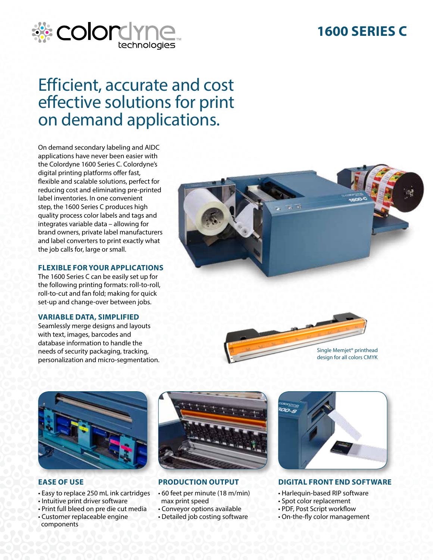## **1600 SERIES C**



# Efficient, accurate and cost effective solutions for print on demand applications.

On demand secondary labeling and AIDC applications have never been easier with the Colordyne 1600 Series C. Colordyne's digital printing platforms offer fast, flexible and scalable solutions, perfect for reducing cost and eliminating pre-printed label inventories. In one convenient step, the 1600 Series C produces high quality process color labels and tags and integrates variable data – allowing for brand owners, private label manufacturers and label converters to print exactly what the job calls for, large or small.

#### **FLEXIBLE FOR YOUR APPLICATIONS**

The 1600 Series C can be easily set up for the following printing formats: roll-to-roll, roll-to-cut and fan fold; making for quick set-up and change-over between jobs.

#### **VARIABLE DATA, SIMPLIFIED**

Seamlessly merge designs and layouts with text, images, barcodes and database information to handle the needs of security packaging, tracking, personalization and micro-segmentation.







#### **EASE OF USE**

- Easy to replace 250 mL ink cartridges
- Intuitive print driver software
- Print full bleed on pre die cut media
- Customer replaceable engine components



### **PRODUCTION OUTPUT**

- 60 feet per minute (18 m/min) max print speed
- Conveyor options available
- Detailed job costing software



**DIGITAL FRONT END SOFTWARE**

- Harlequin-based RIP software
- Spot color replacement
- PDF, Post Script workflow
- On-the-fly color management